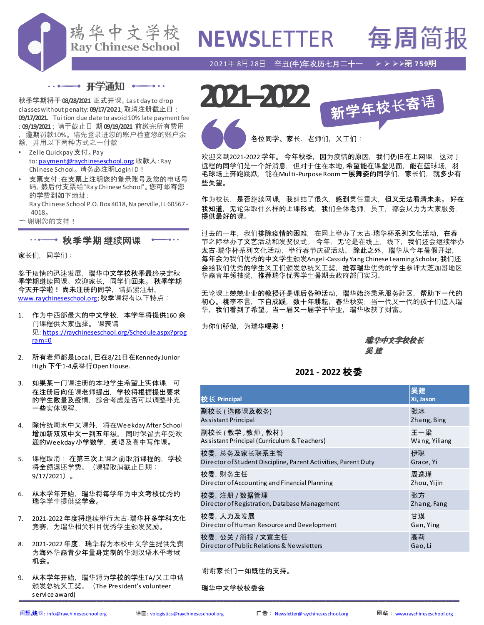

# **NEWS**LETTER



### 2021年8月28日 辛丑(牛)年农历七月二十一 > > > > > > <sup>3</sup>第759期

…←━━• 开学通知 ◆━━•…

秋季学期将于**08/28/2021** 正式开课。Last day to drop classes without penalty: **09/17/2021**;取消注册截止日: 09/17/2021. Tuition due date to avoid 10% late payment fee : **09/19/2021**;请于截止日 期 **09/19/2021** 前缴完所有费用 逾期罚款10%。请先登录进您的账户检查您的账户余 额,并用以下两种方式之一付款:

- Zelle Quickpay 支付。Pay to: [payment@raychineseschool.org;](mailto:payment@raychineseschool.org) 收款人: Ray Chinese School。 请务必注明Login ID!
- 支票支付:在支票上注明您的登录账号及您的电话号 码,然后付支票给"RayChinese School"。您可邮寄您 的学费到如下地址: Ray Chinese School P.O. Box 4018, Naperville, IL 60567 -

4018。

~~ 谢谢您的支持!

#### ⋯⋯ 秋季学期 继续网课

家长们,同学们:

鉴于疫情的迅速发展,瑞华中文学校秋季最终决定秋 季学期继续网课。欢迎家长,同学们回来。 秋季学期 今天开学啦! 尚未注册的同学,请抓紧注册。 [www.raychineseschool.org;](http://www.raychineseschool.org)秋季课将有以下特点:

- 1. 作为中西部最大的中文学校,本学年将提供160 余 门课程供大家选择。 课表请 见: [https://raychineseschool.org/Schedule.aspx?prog](https://raychineseschool.org/Schedule.aspx?program=0) ram=0
- 2. 所有老师都是Local, 已在8/21日在Kennedy Junior High 下午1-4点举行OpenHouse.
- 3. 如果某一门课注册的本地学生希望上实体课,可 在注册后向任课老师提出,学校将根据提出要求 的学生数量及疫情,综合考虑是否可以调整补充 一些实体课程。
- 4. 除传统周末中文课外, 将在Weekday After School 增加新双双中文一到五年级。 同时保留去年受欢 迎的Weekday小学数学,英语及高中写作课。
- 5. 课程取消: 在第三次上课之前取消课程的, 学校 将全额退还学费。(课程取消截止日期: 9/17/2021)。
- 6. 从本学年开始,瑞华将每学年为中文考核优秀的 瑞华学生提供奖学金。
- 7. 2021-2022年度将继续举行太古-瑞华杯多学科文化 竞赛,为瑞华相关科目优秀学生颁发奖励。
- 8. 2021-2022年度,瑞华将为本校中文学生提供免费 为海外华裔青少年量身定制的华测汉语水平考试 机会。
- \_\_\_\_\_\_\_\_\_\_\_\_\_\_\_\_\_\_\_\_\_\_\_\_\_\_\_\_\_\_\_\_\_\_\_\_\_\_\_\_\_\_\_\_\_\_\_\_\_\_\_\_\_\_\_\_\_\_\_\_\_\_\_\_\_\_\_\_\_\_\_\_\_\_\_\_\_\_\_\_\_\_\_\_\_\_\_\_\_\_\_\_\_\_\_\_\_\_\_\_\_\_\_\_\_\_\_\_\_\_\_\_\_\_\_\_\_\_\_\_\_\_\_\_\_ 9. 从本学年开始, 瑞华将为学校的学生TA/义工申请 颁发总统义工奖。(The President's volunteer service award)





各位同学、家长、老师们,义工们:

欢迎来到2021-2022 学年。 今年秋季,因为疫情的原因,我们仍旧在上网课,这对于 远程的同学们是一个好消息,但对于住在本地, 希望能在课堂见面,能在篮球场,羽 毛球场上奔跑跳跃, 能在Multi-Purpose Room一展舞姿的同学们, 家长们, 就多少有 些失望。

作为校长,是否继续网课,我纠结了很久,感到责任重大,但又无法看清未来。 好在 我知道,无论采取什么样的上课形式,我们全体老师,员工,都会尽力为大家服务, 提供最好的课。

过去的一年,我们<mark>排除疫情的困</mark>难,在网上举办了太古-瑞华杯<mark>系列文化活</mark>动,在春 节之际举办了文艺活动和发奖仪式。 今年,无论是在线上,线下,我们还会继续举办 太古-瑞华杯系列文化活动,举行春节庆祝活动。 除此之外,瑞华从今年暑假开始, 每年会为我们优秀的中文学生颁发Angel-Cassidy Yang Chinese LearningScholar,我们还 会给我们优秀的学生义工们颁发总统义工奖,推荐瑞华优秀的学生参评大芝加哥地区 华裔青年领袖奖,推荐瑞华优秀学生暑期去政府部门实习。

无论课上兢兢业业的教授还是课后各种活动,瑞华始终秉承服务社区,帮助下一代的 初心。桃李不言,下自成蹊,数十年耕耘,春华秋实,当一代又一代的孩子们迈入瑞 华,我们看到了希望。当一届又一届学子毕业,瑞华收获了财富。

为你们骄傲,为瑞华喝彩!

#### 瑞华中文学校校长 奚 建

## **2021 - 2022** 校委

| 校长 Principal                                                   | 奚建<br><b>Xi, Jason</b> |
|----------------------------------------------------------------|------------------------|
| 副校长 (选修课及教务)                                                   | 张冰                     |
| As sistant Principal                                           | Zhang, Bing            |
| 副校长(教学,教师,教材)                                                  | 王一梁                    |
| Assistant Principal (Curriculum & Teachers)                    | Wang, Yiliang          |
| 校委, 总务及家长联系主管                                                  | 伊聪                     |
| Director of Student Discipline, Parent Activities, Parent Duty | Grace, Yi              |
| 校委. 财务主任                                                       | 周逸瑾                    |
| Director of Accounting and Financial Planning                  | Zhou, Yijin            |
| 校委,注册 / 数据管理                                                   | 张方                     |
| Director of Registration, Database Management                  | Zhang, Fang            |
| 校委. 人力及发展                                                      | 甘瑛                     |
| Director of Human Resource and Development                     | Gan, Ying              |
| 校委, 公关 / 简报 / 文宣主任                                             | 高莉                     |
| Director of Public Relations & Newsletters                     | Gao, Li                |

谢谢家长们一如既往的支持。

瑞华中文学校校委会